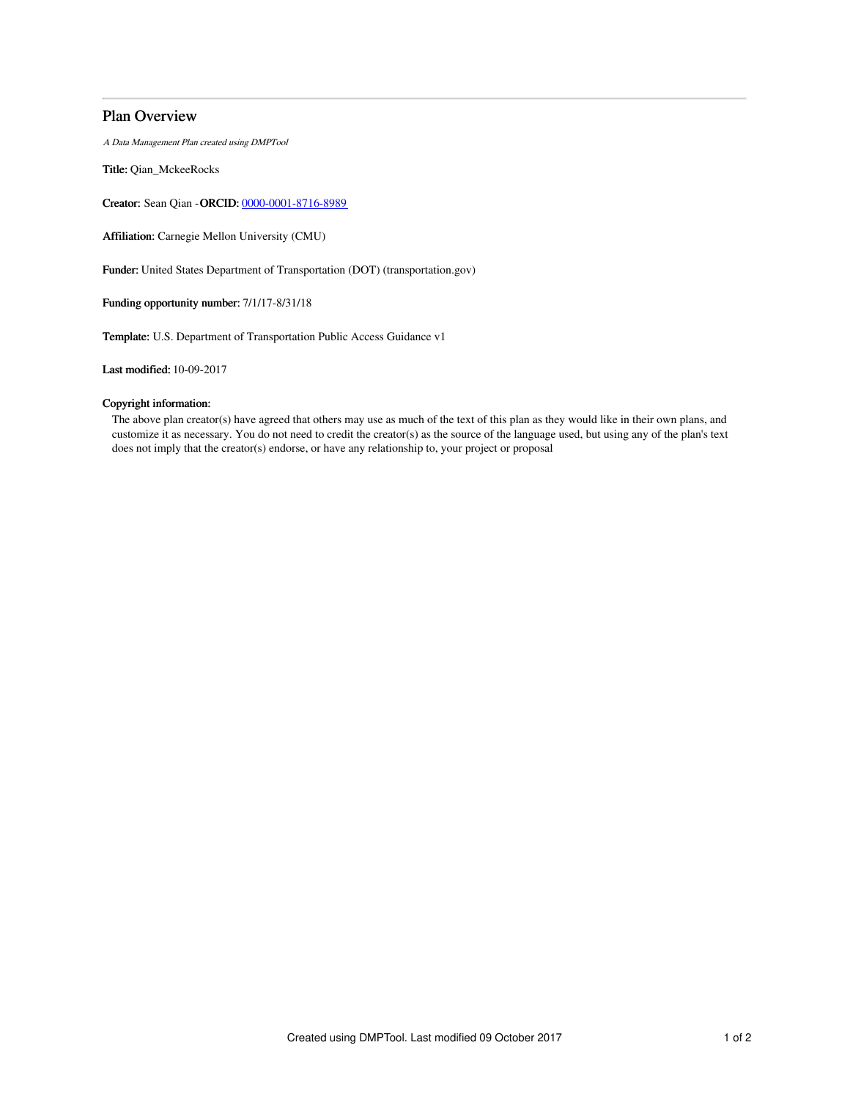# Plan Overview

A Data Management Plan created using DMPTool

Title: Qian\_MckeeRocks

Creator: Sean Qian -ORCID: [0000-0001-8716-8989](https://orcid.org/0000-0001-8716-8989)

Affiliation: Carnegie Mellon University (CMU)

Funder: United States Department of Transportation (DOT) (transportation.gov)

Funding opportunity number: 7/1/17-8/31/18

Template: U.S. Department of Transportation Public Access Guidance v1

Last modified: 10-09-2017

# Copyright information:

The above plan creator(s) have agreed that others may use as much of the text of this plan as they would like in their own plans, and customize it as necessary. You do not need to credit the creator(s) as the source of the language used, but using any of the plan's text does not imply that the creator(s) endorse, or have any relationship to, your project or proposal